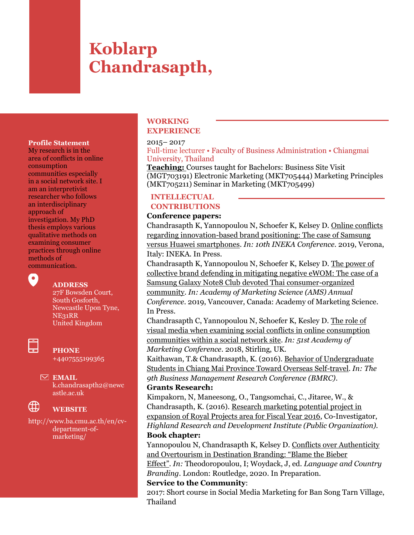# **Koblarp Chandrasapth,**

#### **Profile Statement**

My research is in the area of conflicts in online consumption communities especially in a social network site. I am an interpretivist researcher who follows an interdisciplinary approach of investigation. My PhD thesis employs various qualitative methods on examining consumer practices through online methods of communication.



#### **ADDRESS**

27F Bowsden Court, South Gosforth, Newcastle Upon Tyne, NE31RR United Kingdom



**PHONE**

+4407555199365

**EMAIL** k.chandrasapth2@newc astle.ac.uk

∰

## **WEBSITE**

http://www.ba.cmu.ac.th/en/cvdepartment-ofmarketing/

### **WORKING EXPERIENCE**

### 2015– 2017

Full-time lecturer • Faculty of Business Administration • Chiangmai University, Thailand

**Teaching:** Courses taught for Bachelors: Business Site Visit (MGT703191) Electronic Marketing (MKT705444) Marketing Principles (MKT705211) Seminar in Marketing (MKT705499)

## **INTELLECTUAL CONTRIBUTIONS**

### **Conference papers:**

Chandrasapth K, Yannopoulou N, Schoefer K, Kelsey D. Online conflicts regarding innovation-based brand positioning: The case of Samsung versus Huawei smartphones. *In: 10th INEKA Conference*. 2019, Verona, Italy: INEKA. In Press.

Chandrasapth K, Yannopoulou N, Schoefer K, Kelsey D. The power of collective brand defending in mitigating negative eWOM: The case of a Samsung Galaxy Note8 Club devoted Thai consumer-organized community. *In: Academy of Marketing Science (AMS) Annual Conference*. 2019, Vancouver, Canada: Academy of Marketing Science. In Press.

Chandrasapth C, Yannopoulou N, Schoefer K, Kesley D. The role of visual media when examining social conflicts in online consumption communities within a social network site. *In: 51st Academy of Marketing Conference*. 2018, Stirling, UK.

Kaithawan, T.& Chandrasapth, K. (2016). Behavior of Undergraduate Students in Chiang Mai Province Toward Overseas Self-travel. *In: The 9th Business Management Research Conference (BMRC)*.

## **Grants Research:**

Kimpakorn, N, Maneesong, O., Tangsomchai, C., Jitaree, W., & Chandrasapth, K. (2016). Research marketing potential project in expansion of Royal Projects area for Fiscal Year 2016, Co-Investigator, *Highland Research and Development Institute (Public Organization).* **Book chapter:**

Yannopoulou N, Chandrasapth K, Kelsey D. Conflicts over Authenticity and Overtourism in Destination Branding: "Blame the Bieber

Effect". *In:* Theodoropoulou, I; Woydack, J, ed. *Language and Country Branding*. London: Routledge, 2020. In Preparation.

## **Service to the Community**:

2017: Short course in Social Media Marketing for Ban Song Tarn Village, Thailand